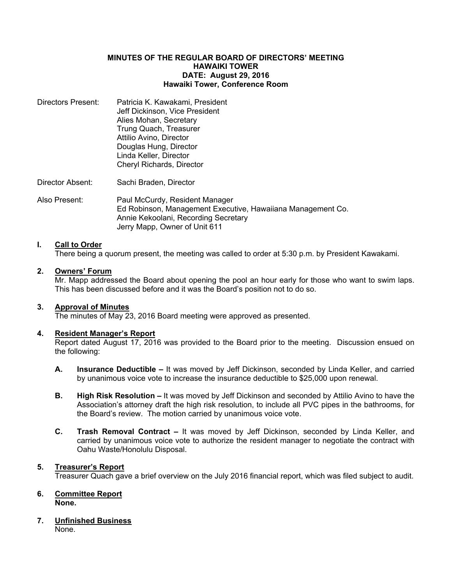## **MINUTES OF THE REGULAR BOARD OF DIRECTORS' MEETING HAWAIKI TOWER DATE: August 29, 2016 Hawaiki Tower, Conference Room**

Directors Present: Patricia K. Kawakami, President Jeff Dickinson, Vice President Alies Mohan, Secretary Trung Quach, Treasurer Attilio Avino, Director Douglas Hung, Director Linda Keller, Director Cheryl Richards, Director

Director Absent: Sachi Braden, Director

Also Present: Paul McCurdy, Resident Manager Ed Robinson, Management Executive, Hawaiiana Management Co. Annie Kekoolani, Recording Secretary Jerry Mapp, Owner of Unit 611

# **I. Call to Order**

There being a quorum present, the meeting was called to order at 5:30 p.m. by President Kawakami.

# **2. Owners' Forum**

Mr. Mapp addressed the Board about opening the pool an hour early for those who want to swim laps. This has been discussed before and it was the Board's position not to do so.

## **3. Approval of Minutes**

The minutes of May 23, 2016 Board meeting were approved as presented.

#### **4. Resident Manager's Report**

Report dated August 17, 2016 was provided to the Board prior to the meeting. Discussion ensued on the following:

- **A. Insurance Deductible –** It was moved by Jeff Dickinson, seconded by Linda Keller, and carried by unanimous voice vote to increase the insurance deductible to \$25,000 upon renewal.
- **B. High Risk Resolution –** It was moved by Jeff Dickinson and seconded by Attilio Avino to have the Association's attorney draft the high risk resolution, to include all PVC pipes in the bathrooms, for the Board's review. The motion carried by unanimous voice vote.
- **C. Trash Removal Contract –** It was moved by Jeff Dickinson, seconded by Linda Keller, and carried by unanimous voice vote to authorize the resident manager to negotiate the contract with Oahu Waste/Honolulu Disposal.

# **5. Treasurer's Report**

Treasurer Quach gave a brief overview on the July 2016 financial report, which was filed subject to audit.

### **6. Committee Report None.**

#### **7. Unfinished Business** None.